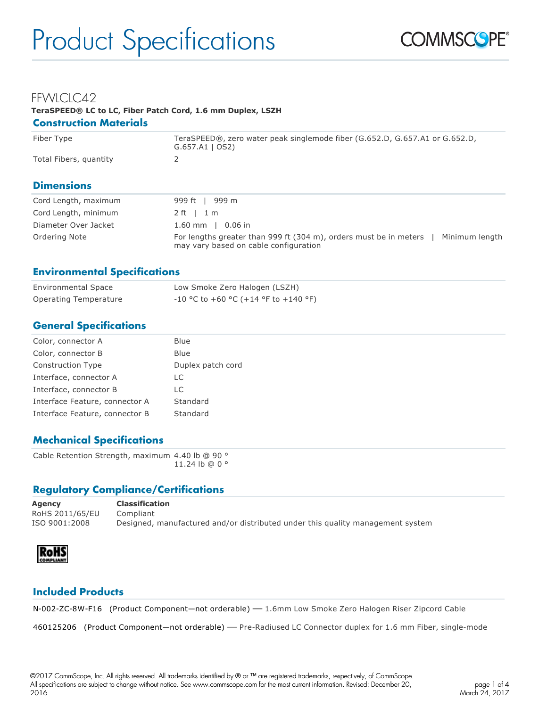

#### FFWLCLC42 **TeraSPEED® LC to LC, Fiber Patch Cord, 1.6 mm Duplex, LSZH Construction Materials**

# Fiber Type TeraSPEED®, zero water peak singlemode fiber (G.652.D, G.657.A1 or G.652.D, G.657.A1 | OS2) Total Fibers, quantity 2

# **Dimensions**

| Cord Length, maximum | 999 ft 1 999 m                                                                                                               |
|----------------------|------------------------------------------------------------------------------------------------------------------------------|
| Cord Length, minimum | $2 \text{ ft}$ 1 m                                                                                                           |
| Diameter Over Jacket | 1.60 mm $\,$ 0.06 in                                                                                                         |
| Ordering Note        | For lengths greater than 999 ft (304 m), orders must be in meters<br>Minimum length<br>may vary based on cable configuration |

# **Environmental Specifications**

| <b>Environmental Space</b> | Low Smoke Zero Halogen (LSZH)          |
|----------------------------|----------------------------------------|
| Operating Temperature      | $-10$ °C to +60 °C (+14 °F to +140 °F) |

# **General Specifications**

| Color, connector A             | <b>Blue</b>       |
|--------------------------------|-------------------|
| Color, connector B             | <b>Blue</b>       |
| <b>Construction Type</b>       | Duplex patch cord |
| Interface, connector A         | LC                |
| Interface, connector B         | LC                |
| Interface Feature, connector A | Standard          |
| Interface Feature, connector B | Standard          |
|                                |                   |

# **Mechanical Specifications**

Cable Retention Strength, maximum 4.40 lb @ 90 ° 11.24 lb @ 0 °

# **Regulatory Compliance/Certifications**

| Agency          | <b>Classification</b>                                                          |
|-----------------|--------------------------------------------------------------------------------|
| RoHS 2011/65/EU | Compliant                                                                      |
| ISO 9001:2008   | Designed, manufactured and/or distributed under this quality management system |



# **Included Products**

N-002-ZC-8W-F16 (Product Component—not orderable) — 1.6mm Low Smoke Zero Halogen Riser Zipcord Cable

460125206 (Product Component—not orderable) — Pre-Radiused LC Connector duplex for 1.6 mm Fiber, single-mode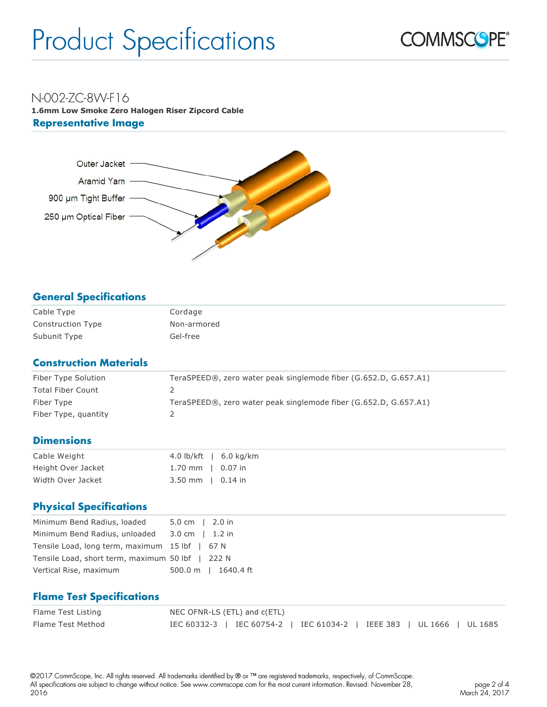

# N-002-ZC-8W-F16

**1.6mm Low Smoke Zero Halogen Riser Zipcord Cable Representative Image** 



# **General Specifications**

| Cable Type               | Cordage     |
|--------------------------|-------------|
| <b>Construction Type</b> | Non-armored |
| Subunit Type             | Gel-free    |

# **Construction Materials**

| Fiber Type Solution      | TeraSPEED®, zero water peak singlemode fiber (G.652.D, G.657.A1) |
|--------------------------|------------------------------------------------------------------|
| <b>Total Fiber Count</b> |                                                                  |
| Fiber Type               | TeraSPEED®, zero water peak singlemode fiber (G.652.D, G.657.A1) |
| Fiber Type, quantity     |                                                                  |

# **Dimensions**

| Cable Weight       |                             | 4.0 lb/kft   $6.0 \text{ kg/km}$ |
|--------------------|-----------------------------|----------------------------------|
| Height Over Jacket | 1.70 mm $\parallel$ 0.07 in |                                  |
| Width Over Jacket  | $3.50$ mm $\mid$ 0.14 in    |                                  |

# **Physical Specifications**

| Minimum Bend Radius, loaded                      | $5.0 \text{ cm}$   2.0 in |
|--------------------------------------------------|---------------------------|
| Minimum Bend Radius, unloaded 3.0 cm   1.2 in    |                           |
| Tensile Load, long term, maximum 15 lbf   67 N   |                           |
| Tensile Load, short term, maximum 50 lbf   222 N |                           |
| Vertical Rise, maximum                           | 500.0 m   1640.4 ft       |

# **Flame Test Specifications**

| Flame Test Listing | NEC OFNR-LS (ETL) and c(ETL)                                           |  |  |  |  |
|--------------------|------------------------------------------------------------------------|--|--|--|--|
| Flame Test Method  | IEC 60332-3   IEC 60754-2   IEC 61034-2   IEEE 383   UL 1666   UL 1685 |  |  |  |  |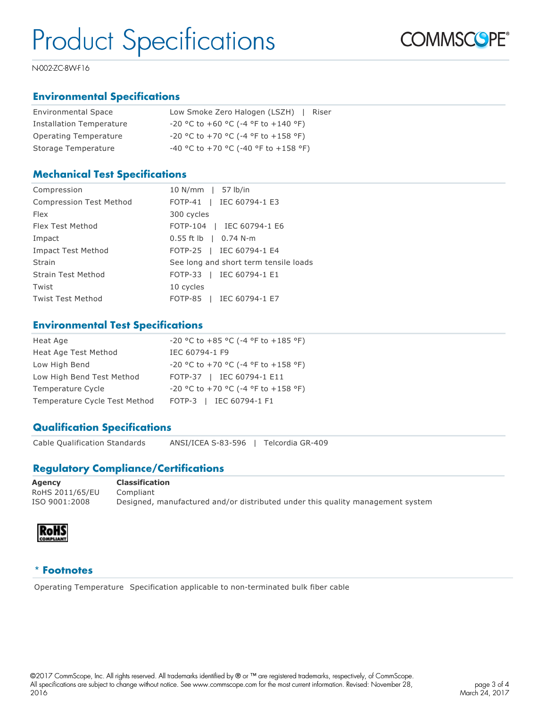

N-002-ZC-8W-F16

# **Environmental Specifications**

| <b>Environmental Space</b>      | Low Smoke Zero Halogen (LSZH)<br>Riser       |
|---------------------------------|----------------------------------------------|
| <b>Installation Temperature</b> | $-20$ °C to $+60$ °C ( $-4$ °F to $+140$ °F) |
| Operating Temperature           | $-20$ °C to $+70$ °C ( $-4$ °F to $+158$ °F) |
| Storage Temperature             | -40 °C to +70 °C (-40 °F to +158 °F)         |

#### **Mechanical Test Specifications**

| Compression                    | 10 N/mm   57 lb/in                    |
|--------------------------------|---------------------------------------|
| <b>Compression Test Method</b> | FOTP-41   IEC 60794-1 E3              |
| <b>Flex</b>                    | 300 cycles                            |
| Flex Test Method               | FOTP-104   IEC 60794-1 E6             |
| Impact                         | $0.55$ ft lb $\,$   0.74 N-m          |
| <b>Impact Test Method</b>      | FOTP-25   IEC 60794-1 E4              |
| Strain                         | See long and short term tensile loads |
| <b>Strain Test Method</b>      | FOTP-33   IEC 60794-1 E1              |
| Twist                          | 10 cycles                             |
| Twist Test Method              | FOTP-85   IEC 60794-1 E7              |

#### **Environmental Test Specifications**

| Heat Age                      | $-20$ °C to $+85$ °C ( $-4$ °F to $+185$ °F) |
|-------------------------------|----------------------------------------------|
| Heat Age Test Method          | IEC 60794-1 F9                               |
| Low High Bend                 | $-20$ °C to $+70$ °C ( $-4$ °F to $+158$ °F) |
| Low High Bend Test Method     | FOTP-37   IEC 60794-1 E11                    |
| Temperature Cycle             | -20 °C to +70 °C (-4 °F to +158 °F)          |
| Temperature Cycle Test Method | FOTP-3   IEC 60794-1 F1                      |

# **Qualification Specifications**

Cable Qualification Standards ANSI/ICEA S-83-596 | Telcordia GR-409

# **Regulatory Compliance/Certifications**

| Agency          | <b>Classification</b>                                                          |
|-----------------|--------------------------------------------------------------------------------|
| RoHS 2011/65/EU | Compliant                                                                      |
| ISO 9001:2008   | Designed, manufactured and/or distributed under this quality management system |



#### \* **Footnotes**

Operating Temperature Specification applicable to non-terminated bulk fiber cable